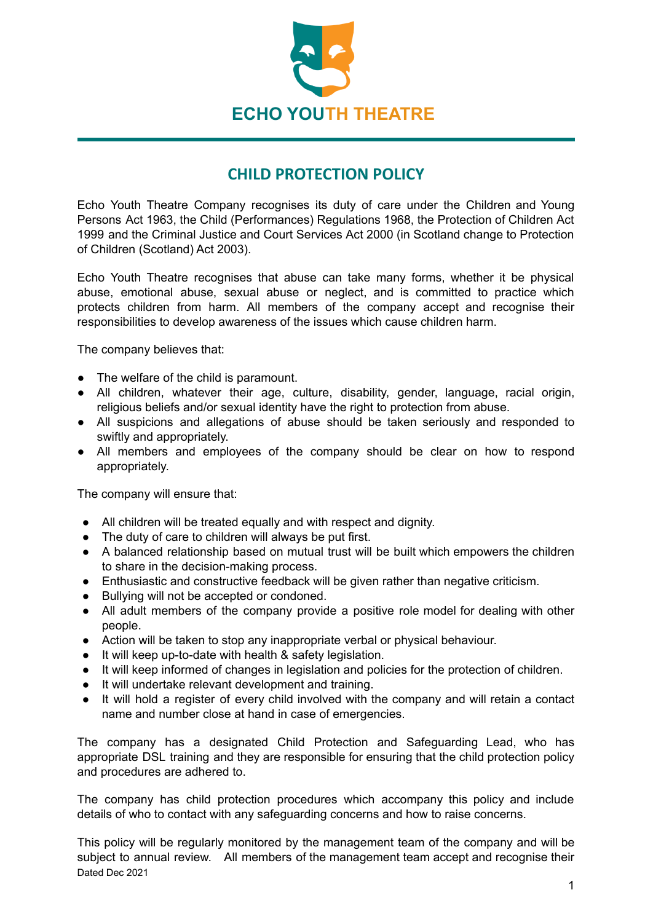

## **CHILD PROTECTION POLICY**

Echo Youth Theatre Company recognises its duty of care under the Children and Young Persons Act 1963, the Child (Performances) Regulations 1968, the Protection of Children Act 1999 and the Criminal Justice and Court Services Act 2000 (in Scotland change to Protection of Children (Scotland) Act 2003).

Echo Youth Theatre recognises that abuse can take many forms, whether it be physical abuse, emotional abuse, sexual abuse or neglect, and is committed to practice which protects children from harm. All members of the company accept and recognise their responsibilities to develop awareness of the issues which cause children harm.

The company believes that:

- The welfare of the child is paramount.
- All children, whatever their age, culture, disability, gender, language, racial origin, religious beliefs and/or sexual identity have the right to protection from abuse.
- All suspicions and allegations of abuse should be taken seriously and responded to swiftly and appropriately.
- All members and employees of the company should be clear on how to respond appropriately.

The company will ensure that:

- All children will be treated equally and with respect and dignity.
- The duty of care to children will always be put first.
- A balanced relationship based on mutual trust will be built which empowers the children to share in the decision-making process.
- Enthusiastic and constructive feedback will be given rather than negative criticism.
- Bullying will not be accepted or condoned.
- All adult members of the company provide a positive role model for dealing with other people.
- Action will be taken to stop any inappropriate verbal or physical behaviour.
- It will keep up-to-date with health & safety legislation.
- It will keep informed of changes in legislation and policies for the protection of children.
- It will undertake relevant development and training.
- It will hold a register of every child involved with the company and will retain a contact name and number close at hand in case of emergencies.

The company has a designated Child Protection and Safeguarding Lead, who has appropriate DSL training and they are responsible for ensuring that the child protection policy and procedures are adhered to.

The company has child protection procedures which accompany this policy and include details of who to contact with any safeguarding concerns and how to raise concerns.

This policy will be regularly monitored by the management team of the company and will be subject to annual review. All members of the management team accept and recognise their Dated Dec 2021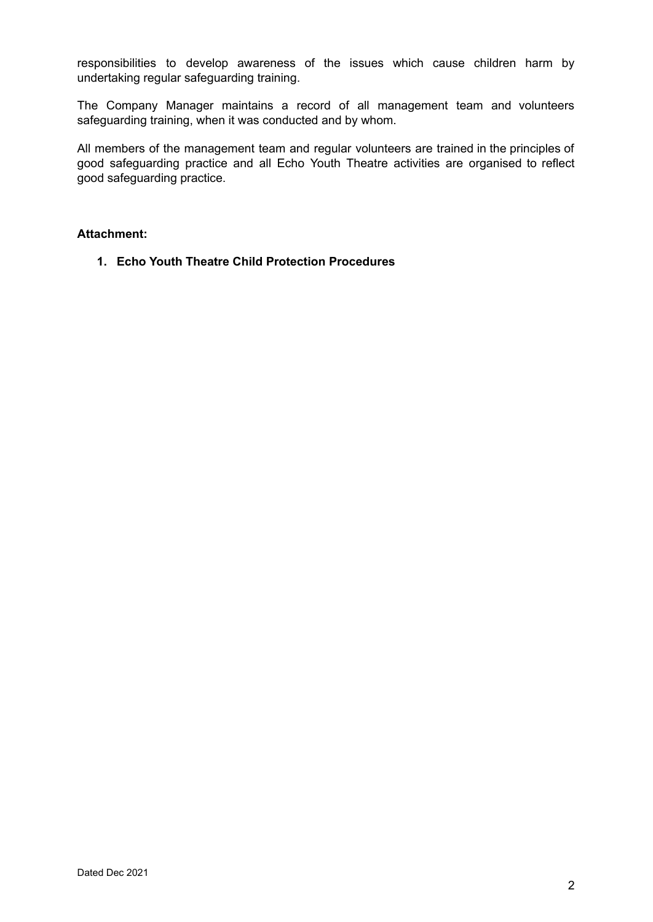responsibilities to develop awareness of the issues which cause children harm by undertaking regular safeguarding training.

The Company Manager maintains a record of all management team and volunteers safeguarding training, when it was conducted and by whom.

All members of the management team and regular volunteers are trained in the principles of good safeguarding practice and all Echo Youth Theatre activities are organised to reflect good safeguarding practice.

#### **Attachment:**

**1. Echo Youth Theatre Child Protection Procedures**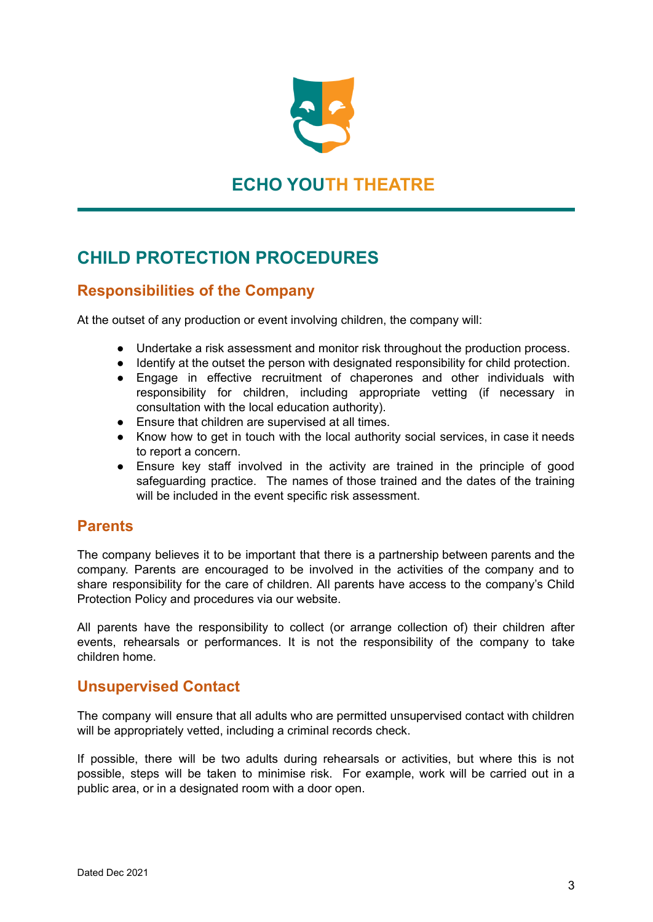

# **ECHO YOUTH THEATRE**

# **CHILD PROTECTION PROCEDURES**

## **Responsibilities of the Company**

At the outset of any production or event involving children, the company will:

- Undertake a risk assessment and monitor risk throughout the production process.
- Identify at the outset the person with designated responsibility for child protection.
- Engage in effective recruitment of chaperones and other individuals with responsibility for children, including appropriate vetting (if necessary in consultation with the local education authority).
- Ensure that children are supervised at all times.
- Know how to get in touch with the local authority social services, in case it needs to report a concern.
- Ensure key staff involved in the activity are trained in the principle of good safeguarding practice. The names of those trained and the dates of the training will be included in the event specific risk assessment.

#### **Parents**

The company believes it to be important that there is a partnership between parents and the company. Parents are encouraged to be involved in the activities of the company and to share responsibility for the care of children. All parents have access to the company's Child Protection Policy and procedures via our website.

All parents have the responsibility to collect (or arrange collection of) their children after events, rehearsals or performances. It is not the responsibility of the company to take children home.

#### **Unsupervised Contact**

The company will ensure that all adults who are permitted unsupervised contact with children will be appropriately vetted, including a criminal records check.

If possible, there will be two adults during rehearsals or activities, but where this is not possible, steps will be taken to minimise risk. For example, work will be carried out in a public area, or in a designated room with a door open.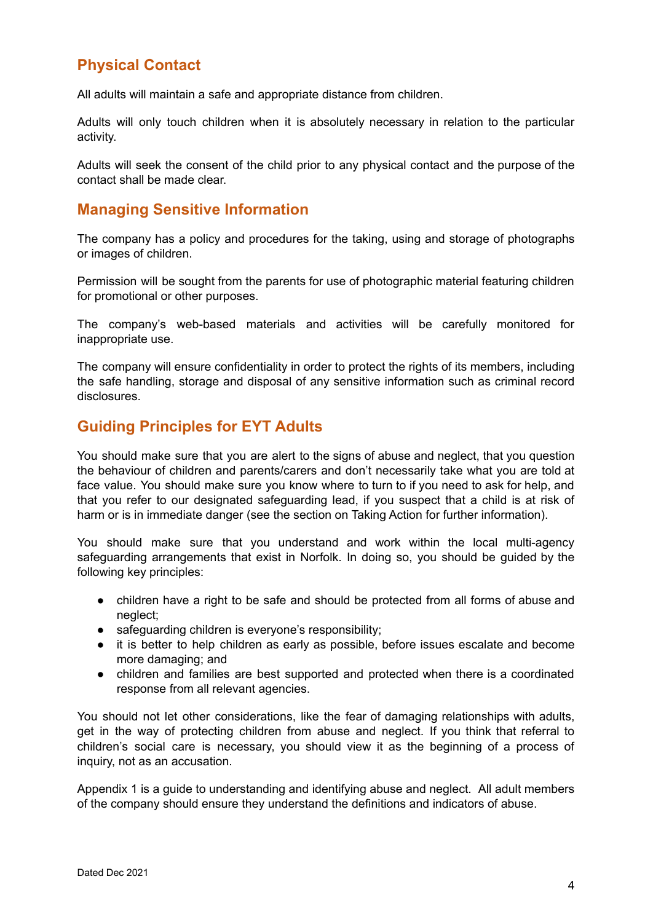### **Physical Contact**

All adults will maintain a safe and appropriate distance from children.

Adults will only touch children when it is absolutely necessary in relation to the particular activity.

Adults will seek the consent of the child prior to any physical contact and the purpose of the contact shall be made clear.

#### **Managing Sensitive Information**

The company has a policy and procedures for the taking, using and storage of photographs or images of children.

Permission will be sought from the parents for use of photographic material featuring children for promotional or other purposes.

The company's web-based materials and activities will be carefully monitored for inappropriate use.

The company will ensure confidentiality in order to protect the rights of its members, including the safe handling, storage and disposal of any sensitive information such as criminal record disclosures.

### **Guiding Principles for EYT Adults**

You should make sure that you are alert to the signs of abuse and neglect, that you question the behaviour of children and parents/carers and don't necessarily take what you are told at face value. You should make sure you know where to turn to if you need to ask for help, and that you refer to our designated safeguarding lead, if you suspect that a child is at risk of harm or is in immediate danger (see the section on Taking Action for further information).

You should make sure that you understand and work within the local multi-agency safeguarding arrangements that exist in Norfolk. In doing so, you should be guided by the following key principles:

- children have a right to be safe and should be protected from all forms of abuse and neglect;
- safeguarding children is everyone's responsibility:
- it is better to help children as early as possible, before issues escalate and become more damaging; and
- children and families are best supported and protected when there is a coordinated response from all relevant agencies.

You should not let other considerations, like the fear of damaging relationships with adults, get in the way of protecting children from abuse and neglect. If you think that referral to children's social care is necessary, you should view it as the beginning of a process of inquiry, not as an accusation.

Appendix 1 is a guide to understanding and identifying abuse and neglect. All adult members of the company should ensure they understand the definitions and indicators of abuse.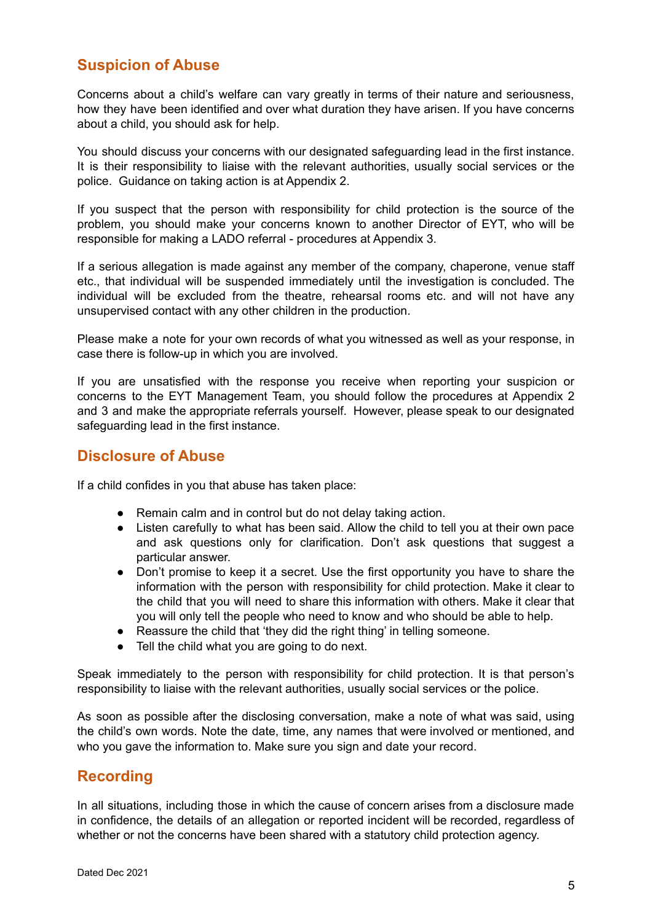### **Suspicion of Abuse**

Concerns about a child's welfare can vary greatly in terms of their nature and seriousness, how they have been identified and over what duration they have arisen. If you have concerns about a child, you should ask for help.

You should discuss your concerns with our designated safeguarding lead in the first instance. It is their responsibility to liaise with the relevant authorities, usually social services or the police. Guidance on taking action is at Appendix 2.

If you suspect that the person with responsibility for child protection is the source of the problem, you should make your concerns known to another Director of EYT, who will be responsible for making a LADO referral - procedures at Appendix 3.

If a serious allegation is made against any member of the company, chaperone, venue staff etc., that individual will be suspended immediately until the investigation is concluded. The individual will be excluded from the theatre, rehearsal rooms etc. and will not have any unsupervised contact with any other children in the production.

Please make a note for your own records of what you witnessed as well as your response, in case there is follow-up in which you are involved.

If you are unsatisfied with the response you receive when reporting your suspicion or concerns to the EYT Management Team, you should follow the procedures at Appendix 2 and 3 and make the appropriate referrals yourself. However, please speak to our designated safeguarding lead in the first instance.

#### **Disclosure of Abuse**

If a child confides in you that abuse has taken place:

- Remain calm and in control but do not delay taking action.
- Listen carefully to what has been said. Allow the child to tell you at their own pace and ask questions only for clarification. Don't ask questions that suggest a particular answer.
- Don't promise to keep it a secret. Use the first opportunity you have to share the information with the person with responsibility for child protection. Make it clear to the child that you will need to share this information with others. Make it clear that you will only tell the people who need to know and who should be able to help.
- Reassure the child that 'they did the right thing' in telling someone.
- Tell the child what you are going to do next.

Speak immediately to the person with responsibility for child protection. It is that person's responsibility to liaise with the relevant authorities, usually social services or the police.

As soon as possible after the disclosing conversation, make a note of what was said, using the child's own words. Note the date, time, any names that were involved or mentioned, and who you gave the information to. Make sure you sign and date your record.

#### **Recording**

In all situations, including those in which the cause of concern arises from a disclosure made in confidence, the details of an allegation or reported incident will be recorded, regardless of whether or not the concerns have been shared with a statutory child protection agency.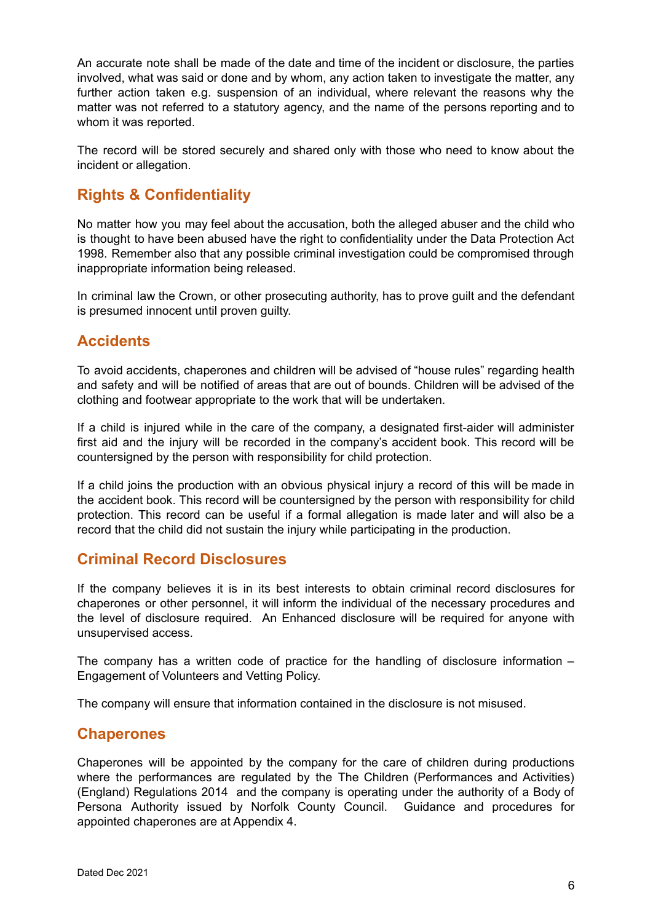An accurate note shall be made of the date and time of the incident or disclosure, the parties involved, what was said or done and by whom, any action taken to investigate the matter, any further action taken e.g. suspension of an individual, where relevant the reasons why the matter was not referred to a statutory agency, and the name of the persons reporting and to whom it was reported.

The record will be stored securely and shared only with those who need to know about the incident or allegation.

## **Rights & Confidentiality**

No matter how you may feel about the accusation, both the alleged abuser and the child who is thought to have been abused have the right to confidentiality under the Data Protection Act 1998. Remember also that any possible criminal investigation could be compromised through inappropriate information being released.

In criminal law the Crown, or other prosecuting authority, has to prove guilt and the defendant is presumed innocent until proven guilty.

### **Accidents**

To avoid accidents, chaperones and children will be advised of "house rules" regarding health and safety and will be notified of areas that are out of bounds. Children will be advised of the clothing and footwear appropriate to the work that will be undertaken.

If a child is injured while in the care of the company, a designated first-aider will administer first aid and the injury will be recorded in the company's accident book. This record will be countersigned by the person with responsibility for child protection.

If a child joins the production with an obvious physical injury a record of this will be made in the accident book. This record will be countersigned by the person with responsibility for child protection. This record can be useful if a formal allegation is made later and will also be a record that the child did not sustain the injury while participating in the production.

#### **Criminal Record Disclosures**

If the company believes it is in its best interests to obtain criminal record disclosures for chaperones or other personnel, it will inform the individual of the necessary procedures and the level of disclosure required. An Enhanced disclosure will be required for anyone with unsupervised access.

The company has a written code of practice for the handling of disclosure information – Engagement of Volunteers and Vetting Policy.

The company will ensure that information contained in the disclosure is not misused.

#### **Chaperones**

Chaperones will be appointed by the company for the care of children during productions where the performances are regulated by the The Children (Performances and Activities) (England) Regulations 2014 and the company is operating under the authority of a Body of Persona Authority issued by Norfolk County Council. Guidance and procedures for appointed chaperones are at Appendix 4.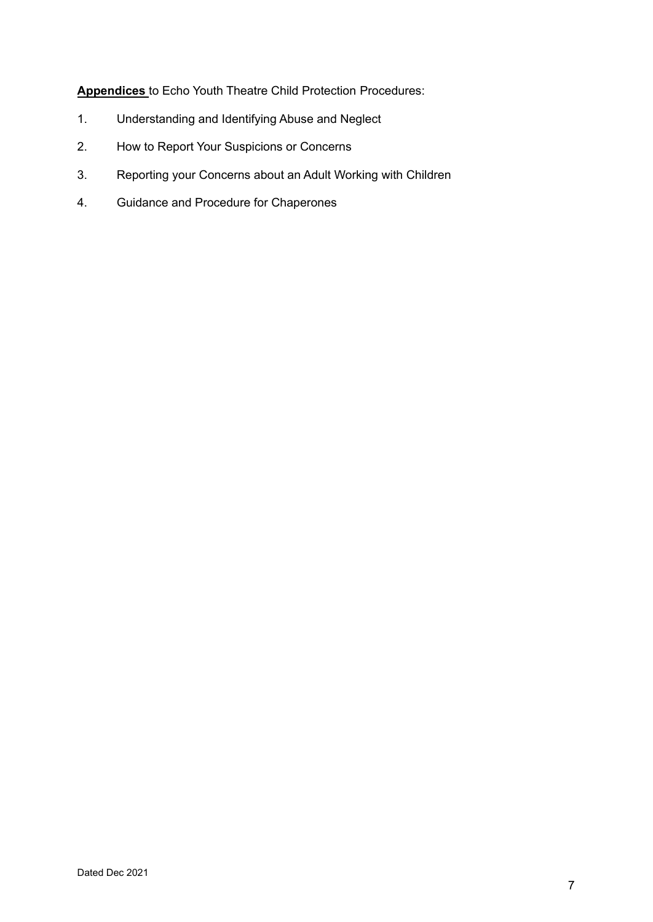**Appendices** to Echo Youth Theatre Child Protection Procedures:

- 1. Understanding and Identifying Abuse and Neglect
- 2. How to Report Your Suspicions or Concerns
- 3. Reporting your Concerns about an Adult Working with Children
- 4. Guidance and Procedure for Chaperones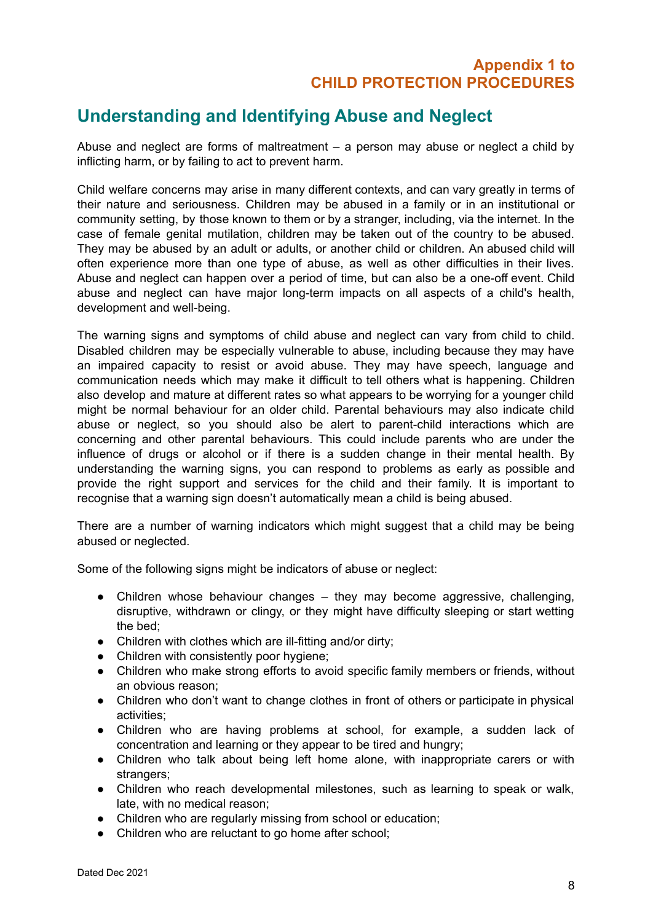### **Appendix 1 to CHILD PROTECTION PROCEDURES**

# **Understanding and Identifying Abuse and Neglect**

Abuse and neglect are forms of maltreatment  $-$  a person may abuse or neglect a child by inflicting harm, or by failing to act to prevent harm.

Child welfare concerns may arise in many different contexts, and can vary greatly in terms of their nature and seriousness. Children may be abused in a family or in an institutional or community setting, by those known to them or by a stranger, including, via the internet. In the case of female genital mutilation, children may be taken out of the country to be abused. They may be abused by an adult or adults, or another child or children. An abused child will often experience more than one type of abuse, as well as other difficulties in their lives. Abuse and neglect can happen over a period of time, but can also be a one-off event. Child abuse and neglect can have major long-term impacts on all aspects of a child's health, development and well-being.

The warning signs and symptoms of child abuse and neglect can vary from child to child. Disabled children may be especially vulnerable to abuse, including because they may have an impaired capacity to resist or avoid abuse. They may have speech, language and communication needs which may make it difficult to tell others what is happening. Children also develop and mature at different rates so what appears to be worrying for a younger child might be normal behaviour for an older child. Parental behaviours may also indicate child abuse or neglect, so you should also be alert to parent-child interactions which are concerning and other parental behaviours. This could include parents who are under the influence of drugs or alcohol or if there is a sudden change in their mental health. By understanding the warning signs, you can respond to problems as early as possible and provide the right support and services for the child and their family. It is important to recognise that a warning sign doesn't automatically mean a child is being abused.

There are a number of warning indicators which might suggest that a child may be being abused or neglected.

Some of the following signs might be indicators of abuse or neglect:

- Children whose behaviour changes they may become aggressive, challenging, disruptive, withdrawn or clingy, or they might have difficulty sleeping or start wetting the bed;
- Children with clothes which are ill-fitting and/or dirty;
- Children with consistently poor hygiene;
- Children who make strong efforts to avoid specific family members or friends, without an obvious reason;
- Children who don't want to change clothes in front of others or participate in physical activities;
- Children who are having problems at school, for example, a sudden lack of concentration and learning or they appear to be tired and hungry;
- Children who talk about being left home alone, with inappropriate carers or with strangers:
- Children who reach developmental milestones, such as learning to speak or walk, late, with no medical reason;
- Children who are regularly missing from school or education;
- Children who are reluctant to go home after school;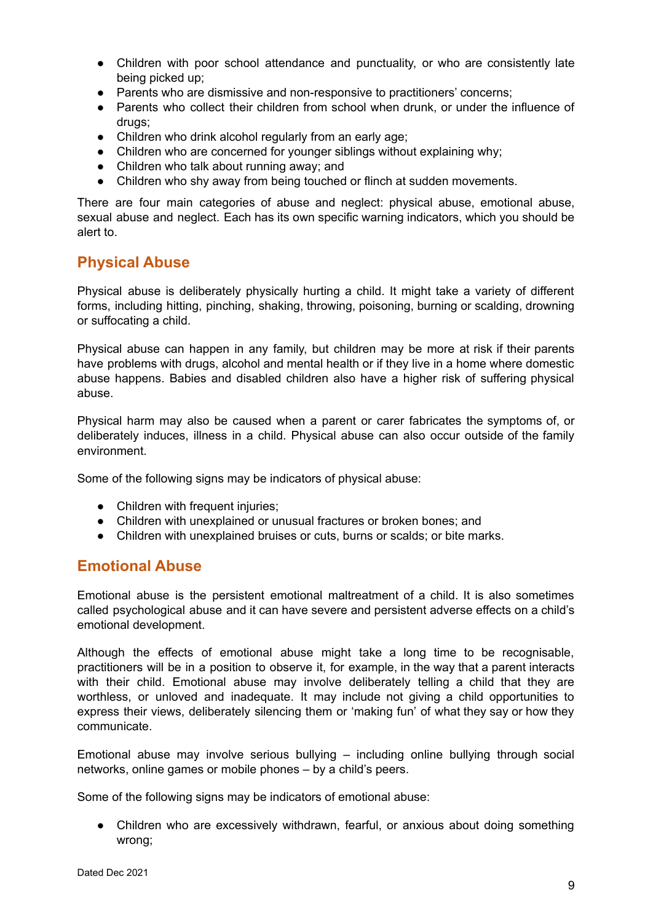- Children with poor school attendance and punctuality, or who are consistently late being picked up;
- Parents who are dismissive and non-responsive to practitioners' concerns;
- Parents who collect their children from school when drunk, or under the influence of drugs;
- Children who drink alcohol regularly from an early age;
- Children who are concerned for younger siblings without explaining why;
- Children who talk about running away; and
- Children who shy away from being touched or flinch at sudden movements.

There are four main categories of abuse and neglect: physical abuse, emotional abuse, sexual abuse and neglect. Each has its own specific warning indicators, which you should be alert to.

### **Physical Abuse**

Physical abuse is deliberately physically hurting a child. It might take a variety of different forms, including hitting, pinching, shaking, throwing, poisoning, burning or scalding, drowning or suffocating a child.

Physical abuse can happen in any family, but children may be more at risk if their parents have problems with drugs, alcohol and mental health or if they live in a home where domestic abuse happens. Babies and disabled children also have a higher risk of suffering physical abuse.

Physical harm may also be caused when a parent or carer fabricates the symptoms of, or deliberately induces, illness in a child. Physical abuse can also occur outside of the family environment.

Some of the following signs may be indicators of physical abuse:

- Children with frequent injuries;
- Children with unexplained or unusual fractures or broken bones; and
- Children with unexplained bruises or cuts, burns or scalds; or bite marks.

#### **Emotional Abuse**

Emotional abuse is the persistent emotional maltreatment of a child. It is also sometimes called psychological abuse and it can have severe and persistent adverse effects on a child's emotional development.

Although the effects of emotional abuse might take a long time to be recognisable, practitioners will be in a position to observe it, for example, in the way that a parent interacts with their child. Emotional abuse may involve deliberately telling a child that they are worthless, or unloved and inadequate. It may include not giving a child opportunities to express their views, deliberately silencing them or 'making fun' of what they say or how they communicate.

Emotional abuse may involve serious bullying – including online bullying through social networks, online games or mobile phones – by a child's peers.

Some of the following signs may be indicators of emotional abuse:

● Children who are excessively withdrawn, fearful, or anxious about doing something wrong;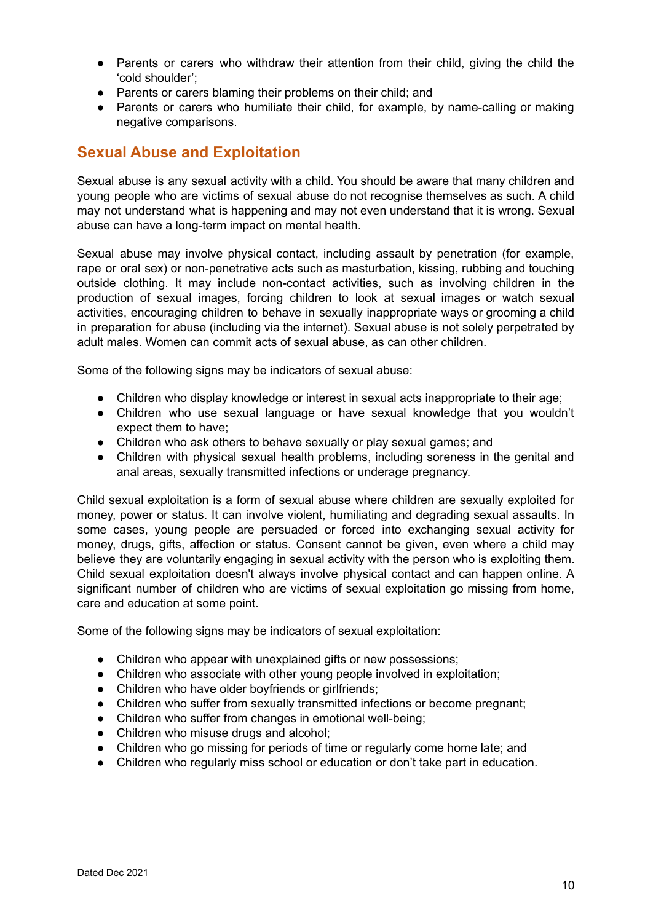- Parents or carers who withdraw their attention from their child, giving the child the 'cold shoulder';
- Parents or carers blaming their problems on their child; and
- Parents or carers who humiliate their child, for example, by name-calling or making negative comparisons.

#### **Sexual Abuse and Exploitation**

Sexual abuse is any sexual activity with a child. You should be aware that many children and young people who are victims of sexual abuse do not recognise themselves as such. A child may not understand what is happening and may not even understand that it is wrong. Sexual abuse can have a long-term impact on mental health.

Sexual abuse may involve physical contact, including assault by penetration (for example, rape or oral sex) or non-penetrative acts such as masturbation, kissing, rubbing and touching outside clothing. It may include non-contact activities, such as involving children in the production of sexual images, forcing children to look at sexual images or watch sexual activities, encouraging children to behave in sexually inappropriate ways or grooming a child in preparation for abuse (including via the internet). Sexual abuse is not solely perpetrated by adult males. Women can commit acts of sexual abuse, as can other children.

Some of the following signs may be indicators of sexual abuse:

- Children who display knowledge or interest in sexual acts inappropriate to their age;
- Children who use sexual language or have sexual knowledge that you wouldn't expect them to have;
- Children who ask others to behave sexually or play sexual games; and
- Children with physical sexual health problems, including soreness in the genital and anal areas, sexually transmitted infections or underage pregnancy.

Child sexual exploitation is a form of sexual abuse where children are sexually exploited for money, power or status. It can involve violent, humiliating and degrading sexual assaults. In some cases, young people are persuaded or forced into exchanging sexual activity for money, drugs, gifts, affection or status. Consent cannot be given, even where a child may believe they are voluntarily engaging in sexual activity with the person who is exploiting them. Child sexual exploitation doesn't always involve physical contact and can happen online. A significant number of children who are victims of sexual exploitation go missing from home, care and education at some point.

Some of the following signs may be indicators of sexual exploitation:

- Children who appear with unexplained gifts or new possessions;
- Children who associate with other young people involved in exploitation;
- Children who have older boyfriends or girlfriends;
- Children who suffer from sexually transmitted infections or become pregnant;
- Children who suffer from changes in emotional well-being;
- Children who misuse drugs and alcohol;
- Children who go missing for periods of time or regularly come home late; and
- Children who regularly miss school or education or don't take part in education.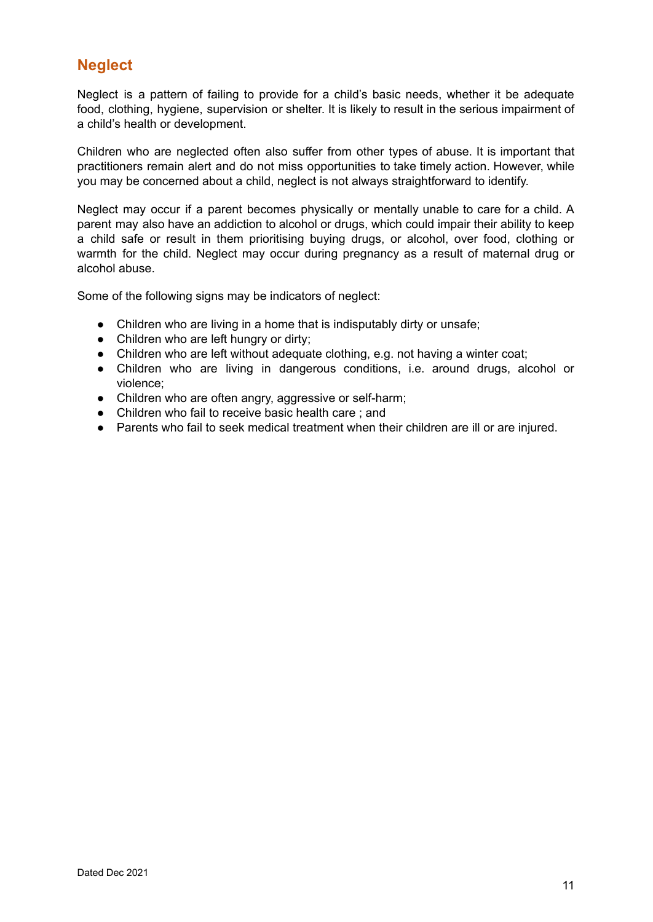### **Neglect**

Neglect is a pattern of failing to provide for a child's basic needs, whether it be adequate food, clothing, hygiene, supervision or shelter. It is likely to result in the serious impairment of a child's health or development.

Children who are neglected often also suffer from other types of abuse. It is important that practitioners remain alert and do not miss opportunities to take timely action. However, while you may be concerned about a child, neglect is not always straightforward to identify.

Neglect may occur if a parent becomes physically or mentally unable to care for a child. A parent may also have an addiction to alcohol or drugs, which could impair their ability to keep a child safe or result in them prioritising buying drugs, or alcohol, over food, clothing or warmth for the child. Neglect may occur during pregnancy as a result of maternal drug or alcohol abuse.

Some of the following signs may be indicators of neglect:

- Children who are living in a home that is indisputably dirty or unsafe;
- Children who are left hungry or dirty;
- Children who are left without adequate clothing, e.g. not having a winter coat;
- Children who are living in dangerous conditions, i.e. around drugs, alcohol or violence;
- Children who are often angry, aggressive or self-harm;
- Children who fail to receive basic health care ; and
- Parents who fail to seek medical treatment when their children are ill or are injured.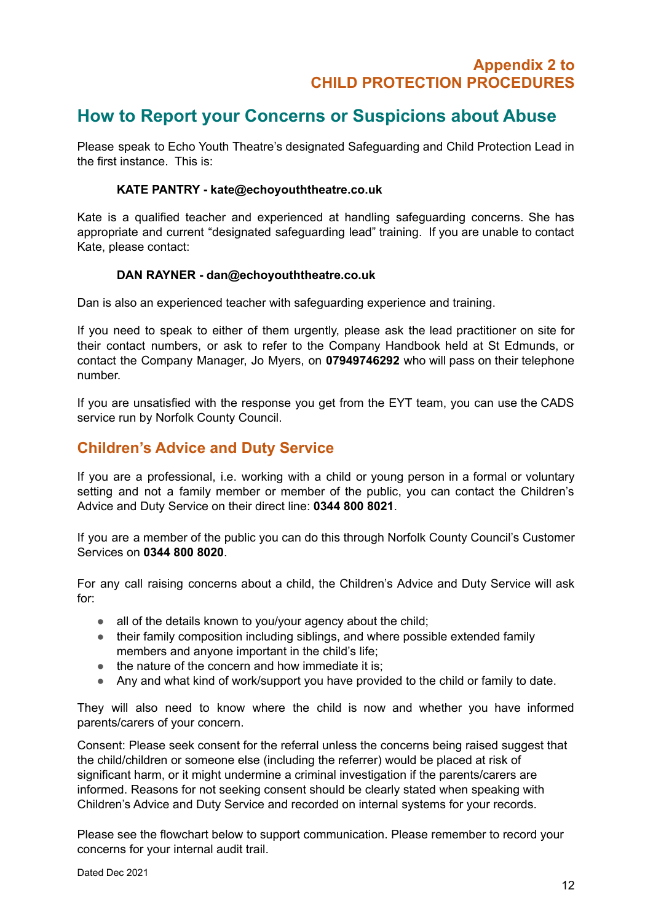# **How to Report your Concerns or Suspicions about Abuse**

Please speak to Echo Youth Theatre's designated Safeguarding and Child Protection Lead in the first instance. This is:

#### **KATE PANTRY - kate@echoyouththeatre.co.uk**

Kate is a qualified teacher and experienced at handling safeguarding concerns. She has appropriate and current "designated safeguarding lead" training. If you are unable to contact Kate, please contact:

#### **DAN RAYNER - dan@echoyouththeatre.co.uk**

Dan is also an experienced teacher with safeguarding experience and training.

If you need to speak to either of them urgently, please ask the lead practitioner on site for their contact numbers, or ask to refer to the Company Handbook held at St Edmunds, or contact the Company Manager, Jo Myers, on **07949746292** who will pass on their telephone number.

If you are unsatisfied with the response you get from the EYT team, you can use the CADS service run by Norfolk County Council.

### **Children's Advice and Duty Service**

If you are a professional, i.e. working with a child or young person in a formal or voluntary setting and not a family member or member of the public, you can contact the Children's Advice and Duty Service on their direct line: **0344 800 8021**.

If you are a member of the public you can do this through Norfolk County Council's Customer Services on **0344 800 8020**.

For any call raising concerns about a child, the Children's Advice and Duty Service will ask for:

- all of the details known to you/your agency about the child;
- their family composition including siblings, and where possible extended family members and anyone important in the child's life;
- the nature of the concern and how immediate it is:
- Any and what kind of work/support you have provided to the child or family to date.

They will also need to know where the child is now and whether you have informed parents/carers of your concern.

Consent: Please seek consent for the referral unless the concerns being raised suggest that the child/children or someone else (including the referrer) would be placed at risk of significant harm, or it might undermine a criminal investigation if the parents/carers are informed. Reasons for not seeking consent should be clearly stated when speaking with Children's Advice and Duty Service and recorded on internal systems for your records.

Please see the flowchart below to support communication. Please remember to record your concerns for your internal audit trail.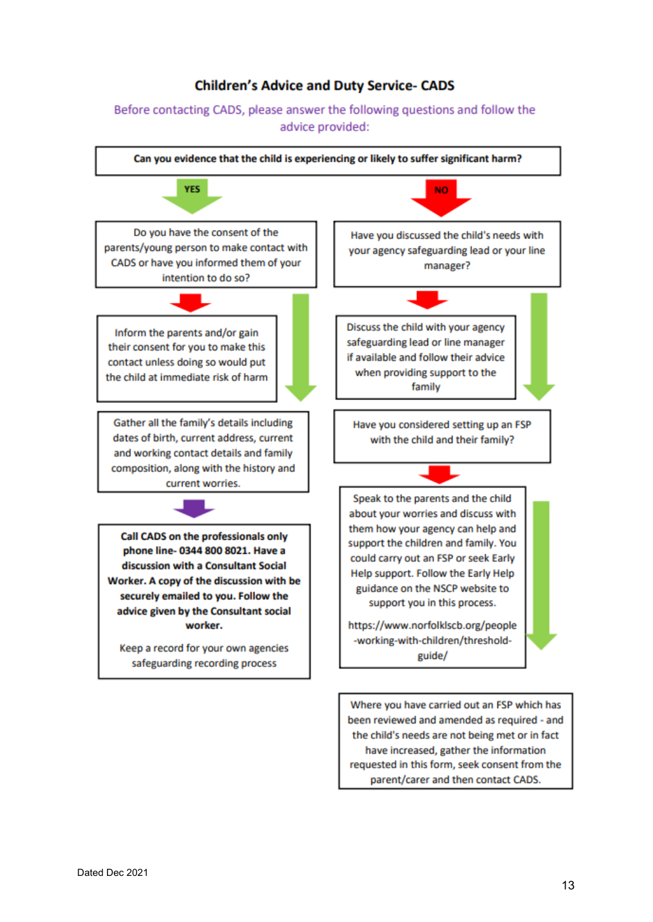#### **Children's Advice and Duty Service- CADS**

#### Before contacting CADS, please answer the following questions and follow the advice provided:



Where you have carried out an FSP which has been reviewed and amended as required - and the child's needs are not being met or in fact have increased, gather the information requested in this form, seek consent from the parent/carer and then contact CADS.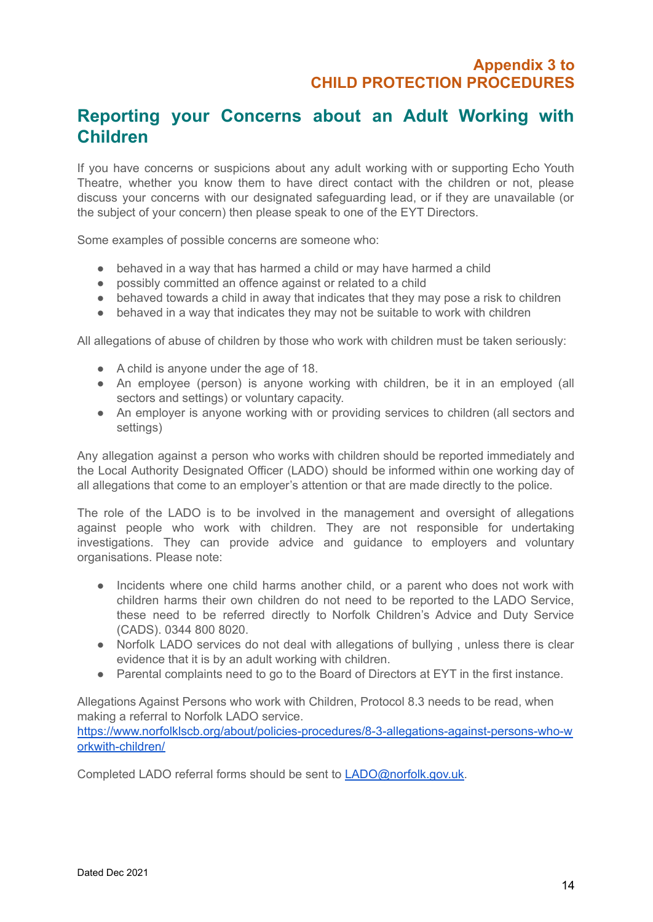# **Reporting your Concerns about an Adult Working with Children**

If you have concerns or suspicions about any adult working with or supporting Echo Youth Theatre, whether you know them to have direct contact with the children or not, please discuss your concerns with our designated safeguarding lead, or if they are unavailable (or the subject of your concern) then please speak to one of the EYT Directors.

Some examples of possible concerns are someone who:

- behaved in a way that has harmed a child or may have harmed a child
- possibly committed an offence against or related to a child
- behaved towards a child in away that indicates that they may pose a risk to children
- behaved in a way that indicates they may not be suitable to work with children

All allegations of abuse of children by those who work with children must be taken seriously:

- A child is anyone under the age of 18.
- An employee (person) is anyone working with children, be it in an employed (all sectors and settings) or voluntary capacity.
- An employer is anyone working with or providing services to children (all sectors and settings)

Any allegation against a person who works with children should be reported immediately and the Local Authority Designated Officer (LADO) should be informed within one working day of all allegations that come to an employer's attention or that are made directly to the police.

The role of the LADO is to be involved in the management and oversight of allegations against people who work with children. They are not responsible for undertaking investigations. They can provide advice and guidance to employers and voluntary organisations. Please note:

- Incidents where one child harms another child, or a parent who does not work with children harms their own children do not need to be reported to the LADO Service, these need to be referred directly to Norfolk Children's Advice and Duty Service (CADS). 0344 800 8020.
- Norfolk LADO services do not deal with allegations of bullying, unless there is clear evidence that it is by an adult working with children.
- Parental complaints need to go to the Board of Directors at EYT in the first instance.

Allegations Against Persons who work with Children, Protocol 8.3 needs to be read, when making a referral to Norfolk LADO service.

[https://www.norfolklscb.org/about/policies-procedures/8-3-allegations-against-persons-who-w](https://www.norfolklscb.org/about/policies-procedures/8-3-allegations-against-persons-who-workwith-children/) [orkwith-children/](https://www.norfolklscb.org/about/policies-procedures/8-3-allegations-against-persons-who-workwith-children/)

Completed LADO referral forms should be sent to [LADO@norfolk.gov.uk.](mailto:LADO@norfolk.gov.uk)